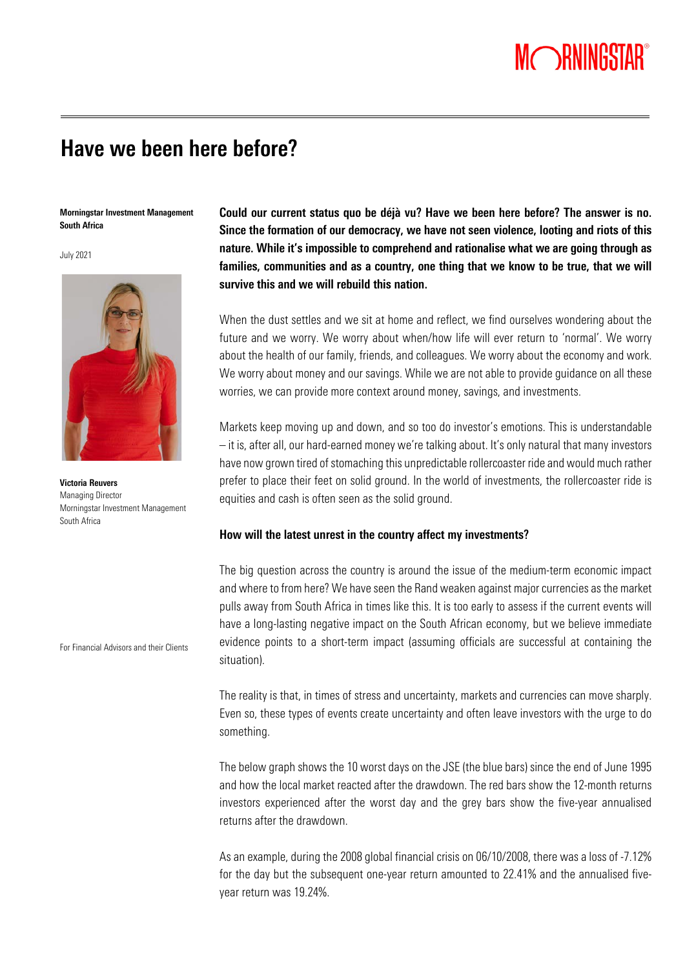# MORNINGSTAR®

# Have we been here before?

Morningstar Investment Management South Africa

July 2021



Victoria Reuvers Managing Director Morningstar Investment Management South Africa

For Financial Advisors and their Clients

Could our current status quo be déjà vu? Have we been here before? The answer is no. Since the formation of our democracy, we have not seen violence, looting and riots of this nature. While it's impossible to comprehend and rationalise what we are going through as families, communities and as a country, one thing that we know to be true, that we will survive this and we will rebuild this nation.

When the dust settles and we sit at home and reflect, we find ourselves wondering about the future and we worry. We worry about when/how life will ever return to 'normal'. We worry about the health of our family, friends, and colleagues. We worry about the economy and work. We worry about money and our savings. While we are not able to provide guidance on all these worries, we can provide more context around money, savings, and investments.

Markets keep moving up and down, and so too do investor's emotions. This is understandable – it is, after all, our hard-earned money we're talking about. It's only natural that many investors have now grown tired of stomaching this unpredictable rollercoaster ride and would much rather prefer to place their feet on solid ground. In the world of investments, the rollercoaster ride is equities and cash is often seen as the solid ground.

# How will the latest unrest in the country affect my investments?

The big question across the country is around the issue of the medium-term economic impact and where to from here? We have seen the Rand weaken against major currencies as the market pulls away from South Africa in times like this. It is too early to assess if the current events will have a long-lasting negative impact on the South African economy, but we believe immediate evidence points to a short-term impact (assuming officials are successful at containing the situation).

The reality is that, in times of stress and uncertainty, markets and currencies can move sharply. Even so, these types of events create uncertainty and often leave investors with the urge to do something.

The below graph shows the 10 worst days on the JSE (the blue bars) since the end of June 1995 and how the local market reacted after the drawdown. The red bars show the 12-month returns investors experienced after the worst day and the grey bars show the five-year annualised returns after the drawdown.

As an example, during the 2008 global financial crisis on 06/10/2008, there was a loss of -7.12% for the day but the subsequent one-year return amounted to 22.41% and the annualised fiveyear return was 19.24%.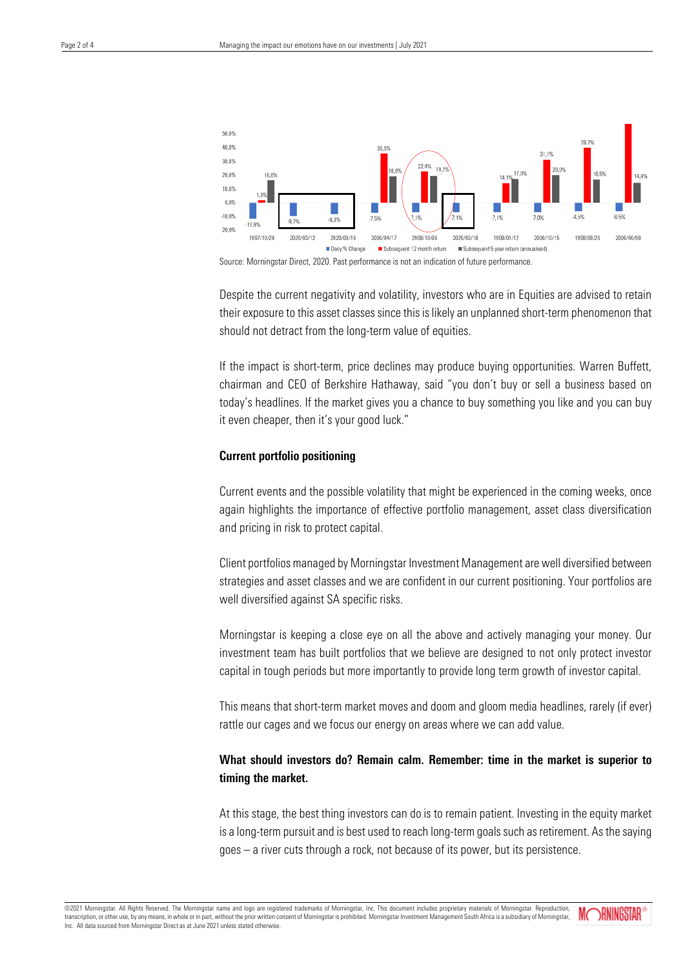

Source: Morningstar Direct, 2020. Past performance is not an indication of future performance.

Despite the current negativity and volatility, investors who are in Equities are advised to retain their exposure to this asset classes since this is likely an unplanned short-term phenomenon that should not detract from the long-term value of equities.

If the impact is short-term, price declines may produce buying opportunities. Warren Buffett, chairman and CEO of Berkshire Hathaway, said "you don't buy or sell a business based on today's headlines. If the market gives you a chance to buy something you like and you can buy it even cheaper, then it's your good luck."

# Current portfolio positioning

Current events and the possible volatility that might be experienced in the coming weeks, once again highlights the importance of effective portfolio management, asset class diversification and pricing in risk to protect capital.

Client portfolios managed by Morningstar Investment Management are well diversified between strategies and asset classes and we are confident in our current positioning. Your portfolios are well diversified against SA specific risks.

Morningstar is keeping a close eye on all the above and actively managing your money. Our investment team has built portfolios that we believe are designed to not only protect investor capital in tough periods but more importantly to provide long term growth of investor capital.

This means that short-term market moves and doom and gloom media headlines, rarely (if ever) rattle our cages and we focus our energy on areas where we can add value.

# What should investors do? Remain calm. Remember: time in the market is superior to timing the market.

At this stage, the best thing investors can do is to remain patient. Investing in the equity market is a long-term pursuit and is best used to reach long-term goals such as retirement. As the saying goes – a river cuts through a rock, not because of its power, but its persistence.

©2021 Morningstar. All Rights Reserved. The Morningstar name and logo are registered trademarks of Morningstar, Inc. This document includes proprietary materials of Morningstar. Reproduction, transcription, or other use, by any means, in whole or in part, without the prior written consent of Morningstar is prohibited. Morningstar Investment Management South Africa is a subsidiary of Morningstar, Inc. All data sourced from Morningstar Direct as at June 2021 unless stated otherwise

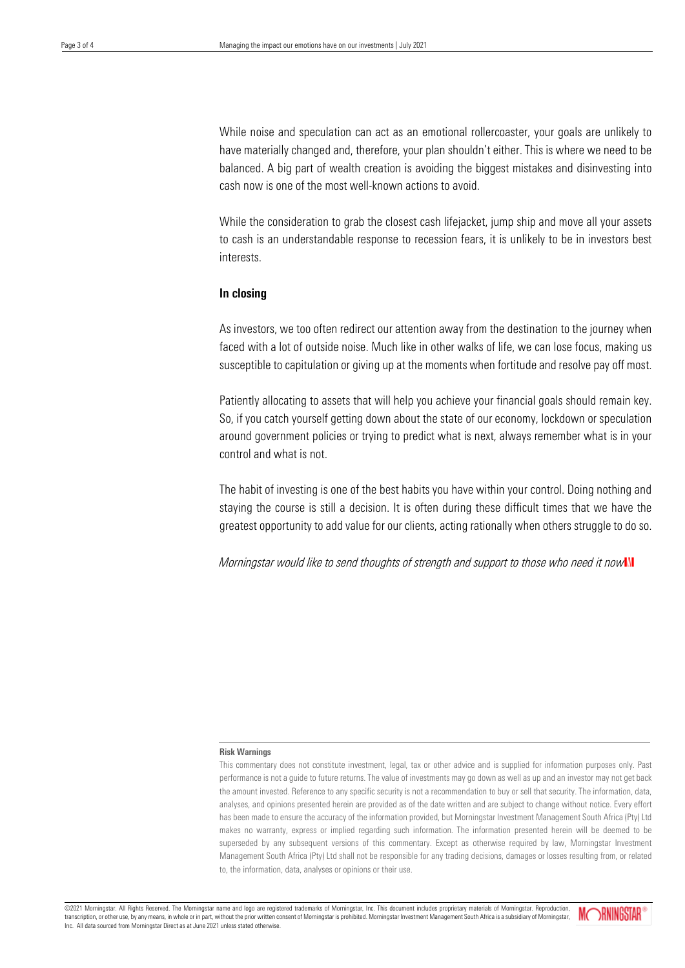While noise and speculation can act as an emotional rollercoaster, your goals are unlikely to have materially changed and, therefore, your plan shouldn't either. This is where we need to be balanced. A big part of wealth creation is avoiding the biggest mistakes and disinvesting into cash now is one of the most well-known actions to avoid.

While the consideration to grab the closest cash lifejacket, jump ship and move all your assets to cash is an understandable response to recession fears, it is unlikely to be in investors best interests.

## In closing

As investors, we too often redirect our attention away from the destination to the journey when faced with a lot of outside noise. Much like in other walks of life, we can lose focus, making us susceptible to capitulation or giving up at the moments when fortitude and resolve pay off most.

Patiently allocating to assets that will help you achieve your financial goals should remain key. So, if you catch yourself getting down about the state of our economy, lockdown or speculation around government policies or trying to predict what is next, always remember what is in your control and what is not.

The habit of investing is one of the best habits you have within your control. Doing nothing and staying the course is still a decision. It is often during these difficult times that we have the greatest opportunity to add value for our clients, acting rationally when others struggle to do so.

*Morningstar would like to send thoughts of strength and support to those who need it now* 

#### Risk Warnings

This commentary does not constitute investment, legal, tax or other advice and is supplied for information purposes only. Past performance is not a guide to future returns. The value of investments may go down as well as up and an investor may not get back the amount invested. Reference to any specific security is not a recommendation to buy or sell that security. The information, data, analyses, and opinions presented herein are provided as of the date written and are subject to change without notice. Every effort has been made to ensure the accuracy of the information provided, but Morningstar Investment Management South Africa (Pty) Ltd makes no warranty, express or implied regarding such information. The information presented herein will be deemed to be superseded by any subsequent versions of this commentary. Except as otherwise required by law, Morningstar Investment Management South Africa (Pty) Ltd shall not be responsible for any trading decisions, damages or losses resulting from, or related to, the information, data, analyses or opinions or their use.